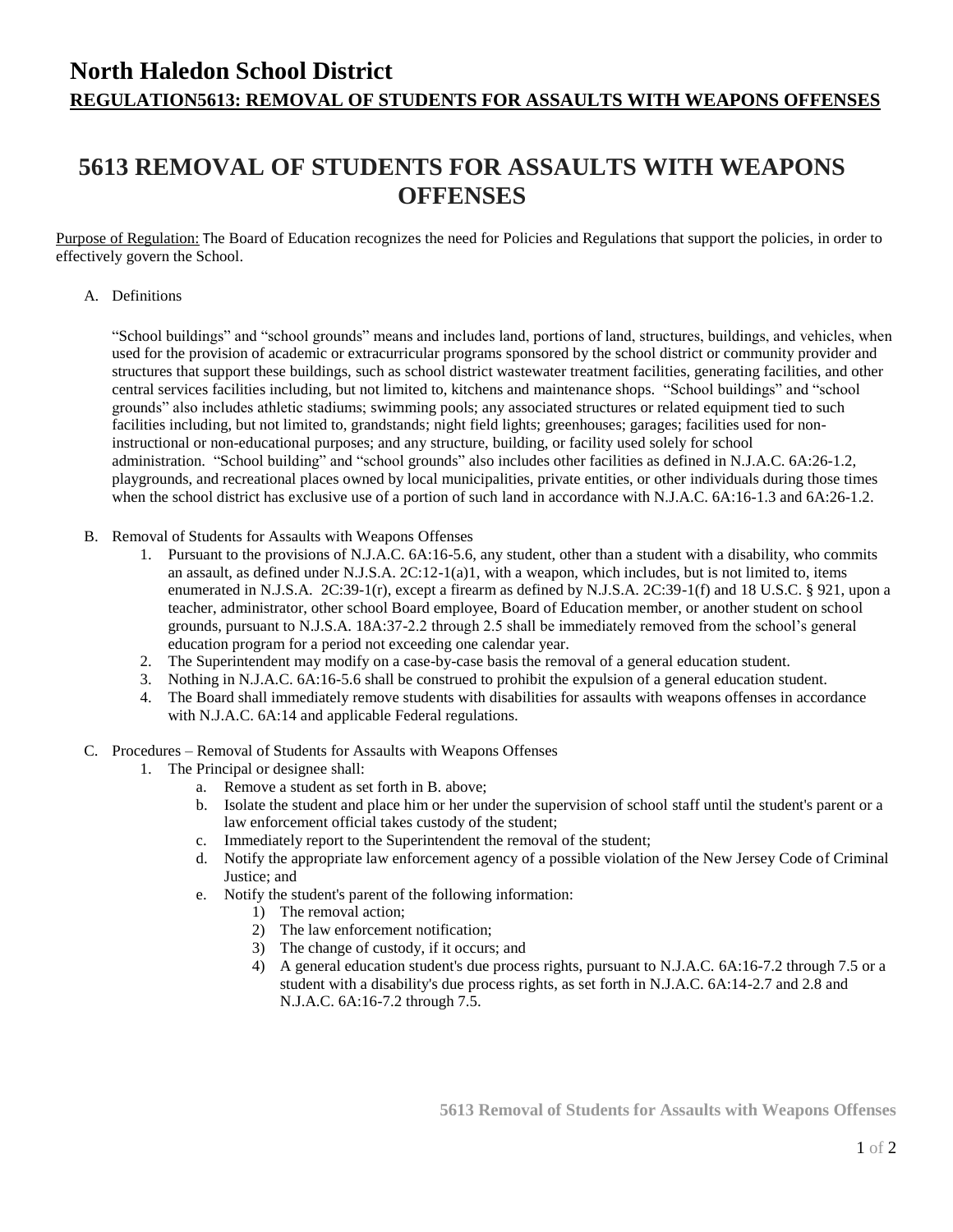### **North Haledon School District REGULATION5613: REMOVAL OF STUDENTS FOR ASSAULTS WITH WEAPONS OFFENSES**

# **5613 REMOVAL OF STUDENTS FOR ASSAULTS WITH WEAPONS OFFENSES**

Purpose of Regulation: The Board of Education recognizes the need for Policies and Regulations that support the policies, in order to effectively govern the School.

#### A. Definitions

"School buildings" and "school grounds" means and includes land, portions of land, structures, buildings, and vehicles, when used for the provision of academic or extracurricular programs sponsored by the school district or community provider and structures that support these buildings, such as school district wastewater treatment facilities, generating facilities, and other central services facilities including, but not limited to, kitchens and maintenance shops. "School buildings" and "school grounds" also includes athletic stadiums; swimming pools; any associated structures or related equipment tied to such facilities including, but not limited to, grandstands; night field lights; greenhouses; garages; facilities used for noninstructional or non-educational purposes; and any structure, building, or facility used solely for school administration. "School building" and "school grounds" also includes other facilities as defined in N.J.A.C. 6A:26-1.2, playgrounds, and recreational places owned by local municipalities, private entities, or other individuals during those times when the school district has exclusive use of a portion of such land in accordance with N.J.A.C. 6A:16-1.3 and 6A:26-1.2.

- B. Removal of Students for Assaults with Weapons Offenses
	- 1. Pursuant to the provisions of N.J.A.C. 6A:16-5.6, any student, other than a student with a disability, who commits an assault, as defined under N.J.S.A. 2C:12-1(a)1, with a weapon, which includes, but is not limited to, items enumerated in N.J.S.A. 2C:39-1(r), except a firearm as defined by N.J.S.A. 2C:39-1(f) and 18 U.S.C. § 921, upon a teacher, administrator, other school Board employee, Board of Education member, or another student on school grounds, pursuant to N.J.S.A. 18A:37-2.2 through 2.5 shall be immediately removed from the school's general education program for a period not exceeding one calendar year.
	- 2. The Superintendent may modify on a case-by-case basis the removal of a general education student.
	- 3. Nothing in N.J.A.C. 6A:16-5.6 shall be construed to prohibit the expulsion of a general education student.
	- 4. The Board shall immediately remove students with disabilities for assaults with weapons offenses in accordance with N.J.A.C. 6A:14 and applicable Federal regulations.
- C. Procedures Removal of Students for Assaults with Weapons Offenses
	- 1. The Principal or designee shall:
		- a. Remove a student as set forth in B. above;
		- b. Isolate the student and place him or her under the supervision of school staff until the student's parent or a law enforcement official takes custody of the student;
		- c. Immediately report to the Superintendent the removal of the student;
		- d. Notify the appropriate law enforcement agency of a possible violation of the New Jersey Code of Criminal Justice; and
		- e. Notify the student's parent of the following information:
			- 1) The removal action;
			- 2) The law enforcement notification;
			- 3) The change of custody, if it occurs; and
			- 4) A general education student's due process rights, pursuant to N.J.A.C. 6A:16-7.2 through 7.5 or a student with a disability's due process rights, as set forth in N.J.A.C. 6A:14-2.7 and 2.8 and N.J.A.C. 6A:16-7.2 through 7.5.